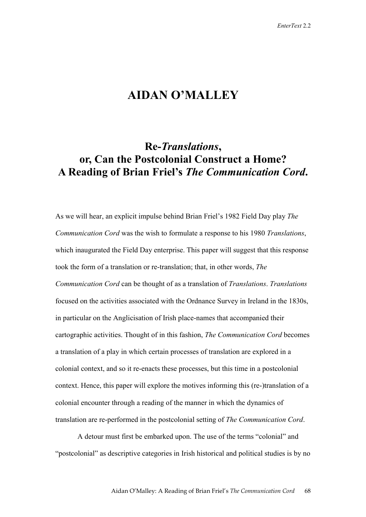## **AIDAN O'MALLEY**

## **Re-***Translations***, or, Can the Postcolonial Construct a Home? A Reading of Brian Friel's** *The Communication Cord***.**

As we will hear, an explicit impulse behind Brian Friel's 1982 Field Day play *The Communication Cord* was the wish to formulate a response to his 1980 *Translations*, which inaugurated the Field Day enterprise. This paper will suggest that this response took the form of a translation or re-translation; that, in other words, *The Communication Cord* can be thought of as a translation of *Translations*. *Translations* focused on the activities associated with the Ordnance Survey in Ireland in the 1830s, in particular on the Anglicisation of Irish place-names that accompanied their cartographic activities. Thought of in this fashion, *The Communication Cord* becomes a translation of a play in which certain processes of translation are explored in a colonial context, and so it re-enacts these processes, but this time in a postcolonial context. Hence, this paper will explore the motives informing this (re-)translation of a colonial encounter through a reading of the manner in which the dynamics of translation are re-performed in the postcolonial setting of *The Communication Cord*.

A detour must first be embarked upon. The use of the terms "colonial" and "postcolonial" as descriptive categories in Irish historical and political studies is by no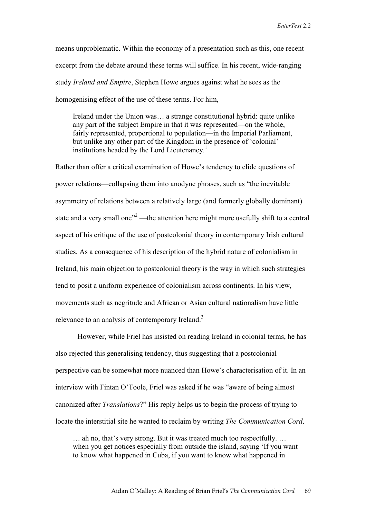means unproblematic. Within the economy of a presentation such as this, one recent excerpt from the debate around these terms will suffice. In his recent, wide-ranging study *Ireland and Empire*, Stephen Howe argues against what he sees as the homogenising effect of the use of these terms. For him,

Ireland under the Union was… a strange constitutional hybrid: quite unlike any part of the subject Empire in that it was represented—on the whole, fairly represented, proportional to population—in the Imperial Parliament, but unlike any other part of the Kingdom in the presence of 'colonial' institutions headed by the Lord Lieutenancy.<sup>1</sup>

Rather than offer a critical examination of Howe's tendency to elide questions of power relations—collapsing them into anodyne phrases, such as "the inevitable asymmetry of relations between a relatively large (and formerly globally dominant) state and a very small one" $2$ —the attention here might more usefully shift to a central aspect of his critique of the use of postcolonial theory in contemporary Irish cultural studies. As a consequence of his description of the hybrid nature of colonialism in Ireland, his main objection to postcolonial theory is the way in which such strategies tend to posit a uniform experience of colonialism across continents. In his view, movements such as negritude and African or Asian cultural nationalism have little relevance to an analysis of contemporary Ireland.<sup>3</sup>

However, while Friel has insisted on reading Ireland in colonial terms, he has also rejected this generalising tendency, thus suggesting that a postcolonial perspective can be somewhat more nuanced than Howe's characterisation of it. In an interview with Fintan O'Toole, Friel was asked if he was "aware of being almost canonized after *Translations*?" His reply helps us to begin the process of trying to locate the interstitial site he wanted to reclaim by writing *The Communication Cord*.

… ah no, that's very strong. But it was treated much too respectfully. … when you get notices especially from outside the island, saying 'If you want to know what happened in Cuba, if you want to know what happened in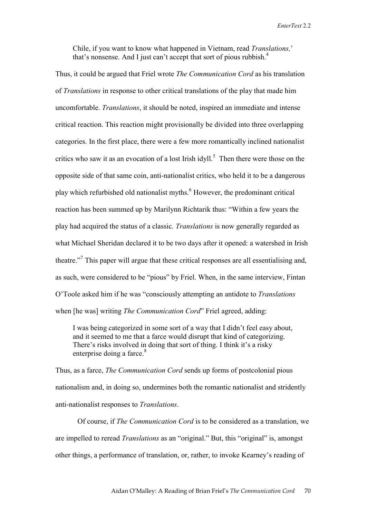Chile, if you want to know what happened in Vietnam, read *Translations,*' that's nonsense. And I just can't accept that sort of pious rubbish. $<sup>4</sup>$ </sup>

Thus, it could be argued that Friel wrote *The Communication Cord* as his translation of *Translations* in response to other critical translations of the play that made him uncomfortable. *Translations*, it should be noted, inspired an immediate and intense critical reaction. This reaction might provisionally be divided into three overlapping categories. In the first place, there were a few more romantically inclined nationalist critics who saw it as an evocation of a lost Irish idyll.<sup>5</sup> Then there were those on the opposite side of that same coin, anti-nationalist critics, who held it to be a dangerous play which refurbished old nationalist myths.<sup>6</sup> However, the predominant critical reaction has been summed up by Marilynn Richtarik thus: "Within a few years the play had acquired the status of a classic. *Translations* is now generally regarded as what Michael Sheridan declared it to be two days after it opened: a watershed in Irish theatre."<sup>7</sup> This paper will argue that these critical responses are all essentialising and, as such, were considered to be "pious" by Friel. When, in the same interview, Fintan O'Toole asked him if he was "consciously attempting an antidote to *Translations*  when [he was] writing *The Communication Cord*" Friel agreed, adding:

I was being categorized in some sort of a way that I didn't feel easy about, and it seemed to me that a farce would disrupt that kind of categorizing. There's risks involved in doing that sort of thing. I think it's a risky enterprise doing a farce.<sup>8</sup>

Thus, as a farce, *The Communication Cord* sends up forms of postcolonial pious nationalism and, in doing so, undermines both the romantic nationalist and stridently anti-nationalist responses to *Translations*.

Of course, if *The Communication Cord* is to be considered as a translation, we are impelled to reread *Translations* as an "original." But, this "original" is, amongst other things, a performance of translation, or, rather, to invoke Kearney's reading of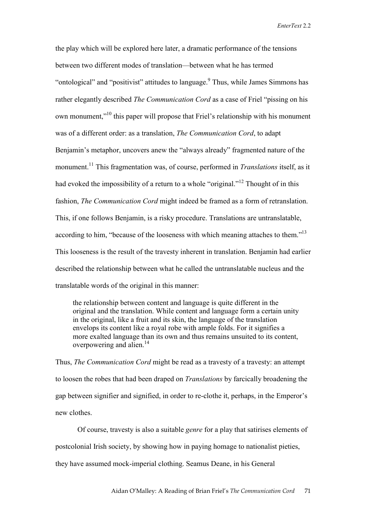the play which will be explored here later, a dramatic performance of the tensions between two different modes of translation—between what he has termed "ontological" and "positivist" attitudes to language. Thus, while James Simmons has rather elegantly described *The Communication Cord* as a case of Friel "pissing on his own monument,"10 this paper will propose that Friel's relationship with his monument was of a different order: as a translation, *The Communication Cord*, to adapt Benjamin's metaphor, uncovers anew the "always already" fragmented nature of the monument.11 This fragmentation was, of course, performed in *Translations* itself, as it had evoked the impossibility of a return to a whole "original."<sup>12</sup> Thought of in this fashion, *The Communication Cord* might indeed be framed as a form of retranslation. This, if one follows Benjamin, is a risky procedure. Translations are untranslatable, according to him, "because of the looseness with which meaning attaches to them."<sup>13</sup> This looseness is the result of the travesty inherent in translation. Benjamin had earlier described the relationship between what he called the untranslatable nucleus and the translatable words of the original in this manner:

the relationship between content and language is quite different in the original and the translation. While content and language form a certain unity in the original, like a fruit and its skin, the language of the translation envelops its content like a royal robe with ample folds. For it signifies a more exalted language than its own and thus remains unsuited to its content, overpowering and alien.<sup>14</sup>

Thus, *The Communication Cord* might be read as a travesty of a travesty: an attempt to loosen the robes that had been draped on *Translations* by farcically broadening the gap between signifier and signified, in order to re-clothe it, perhaps, in the Emperor's new clothes.

Of course, travesty is also a suitable *genre* for a play that satirises elements of postcolonial Irish society, by showing how in paying homage to nationalist pieties, they have assumed mock-imperial clothing. Seamus Deane, in his General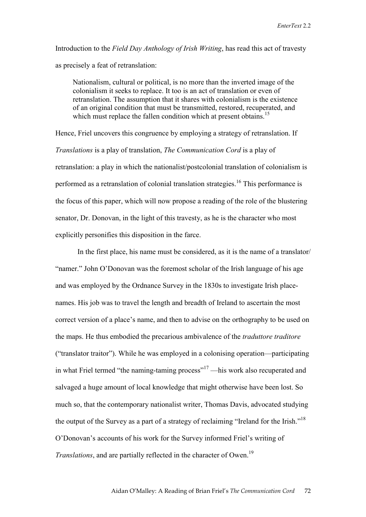Introduction to the *Field Day Anthology of Irish Writing*, has read this act of travesty as precisely a feat of retranslation:

Nationalism, cultural or political, is no more than the inverted image of the colonialism it seeks to replace. It too is an act of translation or even of retranslation. The assumption that it shares with colonialism is the existence of an original condition that must be transmitted, restored, recuperated, and which must replace the fallen condition which at present obtains.<sup>15</sup>

Hence, Friel uncovers this congruence by employing a strategy of retranslation. If *Translations* is a play of translation, *The Communication Cord* is a play of retranslation: a play in which the nationalist/postcolonial translation of colonialism is performed as a retranslation of colonial translation strategies.<sup>16</sup> This performance is the focus of this paper, which will now propose a reading of the role of the blustering senator, Dr. Donovan, in the light of this travesty, as he is the character who most explicitly personifies this disposition in the farce.

In the first place, his name must be considered, as it is the name of a translator/ "namer." John O'Donovan was the foremost scholar of the Irish language of his age and was employed by the Ordnance Survey in the 1830s to investigate Irish placenames. His job was to travel the length and breadth of Ireland to ascertain the most correct version of a place's name, and then to advise on the orthography to be used on the maps. He thus embodied the precarious ambivalence of the *traduttore traditore* ("translator traitor"). While he was employed in a colonising operation—participating in what Friel termed "the naming-taming process"<sup>17</sup> —his work also recuperated and salvaged a huge amount of local knowledge that might otherwise have been lost. So much so, that the contemporary nationalist writer, Thomas Davis, advocated studying the output of the Survey as a part of a strategy of reclaiming "Ireland for the Irish."<sup>18</sup> O'Donovan's accounts of his work for the Survey informed Friel's writing of *Translations*, and are partially reflected in the character of Owen.<sup>19</sup>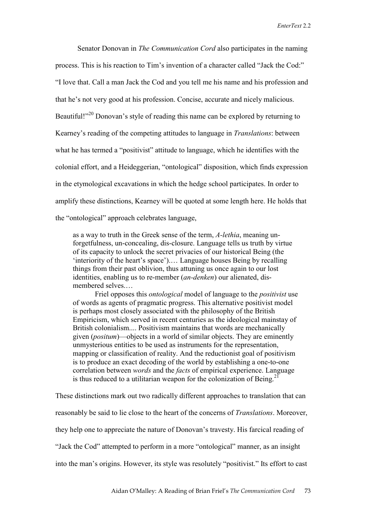Senator Donovan in *The Communication Cord* also participates in the naming process. This is his reaction to Tim's invention of a character called "Jack the Cod:" "I love that. Call a man Jack the Cod and you tell me his name and his profession and that he's not very good at his profession. Concise, accurate and nicely malicious. Beautiful!"<sup>20</sup> Donovan's style of reading this name can be explored by returning to Kearney's reading of the competing attitudes to language in *Translations*: between what he has termed a "positivist" attitude to language, which he identifies with the colonial effort, and a Heideggerian, "ontological" disposition, which finds expression in the etymological excavations in which the hedge school participates. In order to amplify these distinctions, Kearney will be quoted at some length here. He holds that the "ontological" approach celebrates language,

as a way to truth in the Greek sense of the term, *A-lethia*, meaning unforgetfulness, un-concealing, dis-closure. Language tells us truth by virtue of its capacity to unlock the secret privacies of our historical Being (the 'interiority of the heart's space').… Language houses Being by recalling things from their past oblivion, thus attuning us once again to our lost identities, enabling us to re-member (*an-denken*) our alienated, dismembered selves.…

Friel opposes this *ontological* model of language to the *positivist* use of words as agents of pragmatic progress. This alternative positivist model is perhaps most closely associated with the philosophy of the British Empiricism, which served in recent centuries as the ideological mainstay of British colonialism.... Positivism maintains that words are mechanically given (*positum*)—objects in a world of similar objects. They are eminently unmysterious entities to be used as instruments for the representation, mapping or classification of reality. And the reductionist goal of positivism is to produce an exact decoding of the world by establishing a one-to-one correlation between *words* and the *facts* of empirical experience. Language is thus reduced to a utilitarian weapon for the colonization of Being.<sup>21</sup>

These distinctions mark out two radically different approaches to translation that can reasonably be said to lie close to the heart of the concerns of *Translations*. Moreover, they help one to appreciate the nature of Donovan's travesty. His farcical reading of "Jack the Cod" attempted to perform in a more "ontological" manner, as an insight into the man's origins. However, its style was resolutely "positivist." Its effort to cast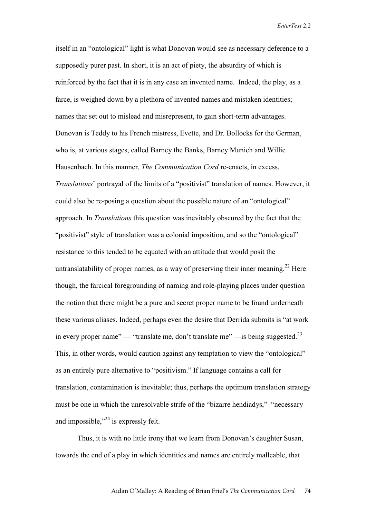itself in an "ontological" light is what Donovan would see as necessary deference to a supposedly purer past. In short, it is an act of piety, the absurdity of which is reinforced by the fact that it is in any case an invented name. Indeed, the play, as a farce, is weighed down by a plethora of invented names and mistaken identities; names that set out to mislead and misrepresent, to gain short-term advantages. Donovan is Teddy to his French mistress, Evette, and Dr. Bollocks for the German, who is, at various stages, called Barney the Banks, Barney Munich and Willie Hausenbach. In this manner, *The Communication Cord* re-enacts, in excess, *Translations*' portrayal of the limits of a "positivist" translation of names. However, it could also be re-posing a question about the possible nature of an "ontological" approach. In *Translations* this question was inevitably obscured by the fact that the "positivist" style of translation was a colonial imposition, and so the "ontological" resistance to this tended to be equated with an attitude that would posit the untranslatability of proper names, as a way of preserving their inner meaning.<sup>22</sup> Here though, the farcical foregrounding of naming and role-playing places under question the notion that there might be a pure and secret proper name to be found underneath these various aliases. Indeed, perhaps even the desire that Derrida submits is "at work in every proper name" — "translate me, don't translate me" — is being suggested.<sup>23</sup> This, in other words, would caution against any temptation to view the "ontological" as an entirely pure alternative to "positivism." If language contains a call for translation, contamination is inevitable; thus, perhaps the optimum translation strategy must be one in which the unresolvable strife of the "bizarre hendiadys," "necessary and impossible,"24 is expressly felt.

Thus, it is with no little irony that we learn from Donovan's daughter Susan, towards the end of a play in which identities and names are entirely malleable, that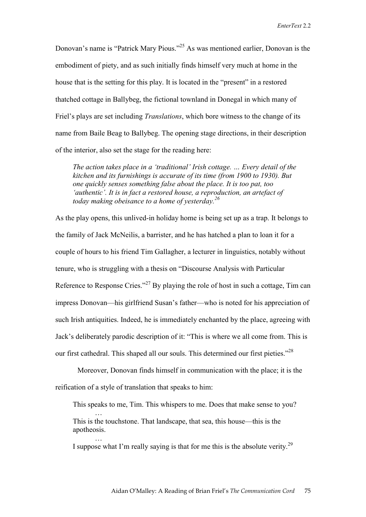Donovan's name is "Patrick Mary Pious."25 As was mentioned earlier, Donovan is the embodiment of piety, and as such initially finds himself very much at home in the house that is the setting for this play. It is located in the "present" in a restored thatched cottage in Ballybeg, the fictional townland in Donegal in which many of Friel's plays are set including *Translations*, which bore witness to the change of its name from Baile Beag to Ballybeg. The opening stage directions, in their description of the interior, also set the stage for the reading here:

*The action takes place in a 'traditional' Irish cottage. … Every detail of the kitchen and its furnishings is accurate of its time (from 1900 to 1930). But one quickly senses something false about the place. It is too pat, too 'authentic'. It is in fact a restored house, a reproduction, an artefact of today making obeisance to a home of yesterday.<sup>26</sup>*

As the play opens, this unlived-in holiday home is being set up as a trap. It belongs to the family of Jack McNeilis, a barrister, and he has hatched a plan to loan it for a couple of hours to his friend Tim Gallagher, a lecturer in linguistics, notably without tenure, who is struggling with a thesis on "Discourse Analysis with Particular Reference to Response Cries."<sup>27</sup> By playing the role of host in such a cottage, Tim can impress Donovan—his girlfriend Susan's father—who is noted for his appreciation of such Irish antiquities. Indeed, he is immediately enchanted by the place, agreeing with Jack's deliberately parodic description of it: "This is where we all come from. This is our first cathedral. This shaped all our souls. This determined our first pieties."<sup>28</sup>

Moreover, Donovan finds himself in communication with the place; it is the reification of a style of translation that speaks to him:

This speaks to me, Tim. This whispers to me. Does that make sense to you?

This is the touchstone. That landscape, that sea, this house—this is the apotheosis. …

…

I suppose what I'm really saying is that for me this is the absolute verity.<sup>29</sup>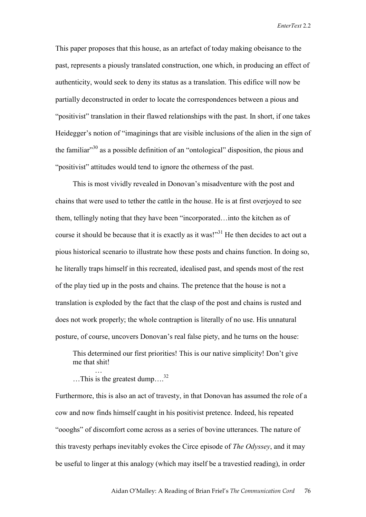This paper proposes that this house, as an artefact of today making obeisance to the past, represents a piously translated construction, one which, in producing an effect of authenticity, would seek to deny its status as a translation. This edifice will now be partially deconstructed in order to locate the correspondences between a pious and "positivist" translation in their flawed relationships with the past. In short, if one takes Heidegger's notion of "imaginings that are visible inclusions of the alien in the sign of the familiar $130$  as a possible definition of an "ontological" disposition, the pious and "positivist" attitudes would tend to ignore the otherness of the past.

This is most vividly revealed in Donovan's misadventure with the post and chains that were used to tether the cattle in the house. He is at first overjoyed to see them, tellingly noting that they have been "incorporated…into the kitchen as of course it should be because that it is exactly as it was!"<sup>31</sup> He then decides to act out a pious historical scenario to illustrate how these posts and chains function. In doing so, he literally traps himself in this recreated, idealised past, and spends most of the rest of the play tied up in the posts and chains. The pretence that the house is not a translation is exploded by the fact that the clasp of the post and chains is rusted and does not work properly; the whole contraption is literally of no use. His unnatural posture, of course, uncovers Donovan's real false piety, and he turns on the house:

This determined our first priorities! This is our native simplicity! Don't give me that shit! …

... This is the greatest dump....<sup>32</sup>

Furthermore, this is also an act of travesty, in that Donovan has assumed the role of a cow and now finds himself caught in his positivist pretence. Indeed, his repeated "oooghs" of discomfort come across as a series of bovine utterances. The nature of this travesty perhaps inevitably evokes the Circe episode of *The Odyssey*, and it may be useful to linger at this analogy (which may itself be a travestied reading), in order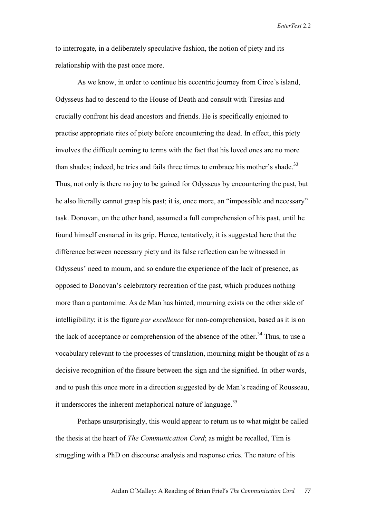to interrogate, in a deliberately speculative fashion, the notion of piety and its relationship with the past once more.

As we know, in order to continue his eccentric journey from Circe's island, Odysseus had to descend to the House of Death and consult with Tiresias and crucially confront his dead ancestors and friends. He is specifically enjoined to practise appropriate rites of piety before encountering the dead. In effect, this piety involves the difficult coming to terms with the fact that his loved ones are no more than shades; indeed, he tries and fails three times to embrace his mother's shade.<sup>33</sup> Thus, not only is there no joy to be gained for Odysseus by encountering the past, but he also literally cannot grasp his past; it is, once more, an "impossible and necessary" task. Donovan, on the other hand, assumed a full comprehension of his past, until he found himself ensnared in its grip. Hence, tentatively, it is suggested here that the difference between necessary piety and its false reflection can be witnessed in Odysseus' need to mourn, and so endure the experience of the lack of presence, as opposed to Donovan's celebratory recreation of the past, which produces nothing more than a pantomime. As de Man has hinted, mourning exists on the other side of intelligibility; it is the figure *par excellence* for non-comprehension, based as it is on the lack of acceptance or comprehension of the absence of the other.<sup>34</sup> Thus, to use a vocabulary relevant to the processes of translation, mourning might be thought of as a decisive recognition of the fissure between the sign and the signified. In other words, and to push this once more in a direction suggested by de Man's reading of Rousseau, it underscores the inherent metaphorical nature of language.<sup>35</sup>

Perhaps unsurprisingly, this would appear to return us to what might be called the thesis at the heart of *The Communication Cord*; as might be recalled, Tim is struggling with a PhD on discourse analysis and response cries. The nature of his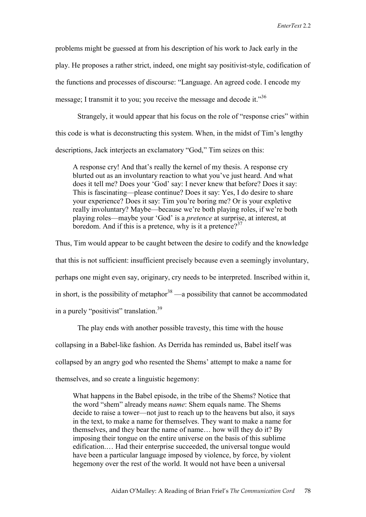problems might be guessed at from his description of his work to Jack early in the play. He proposes a rather strict, indeed, one might say positivist-style, codification of the functions and processes of discourse: "Language. An agreed code. I encode my message; I transmit it to you; you receive the message and decode it."<sup>36</sup>

Strangely, it would appear that his focus on the role of "response cries" within this code is what is deconstructing this system. When, in the midst of Tim's lengthy descriptions, Jack interjects an exclamatory "God," Tim seizes on this:

A response cry! And that's really the kernel of my thesis. A response cry blurted out as an involuntary reaction to what you've just heard. And what does it tell me? Does your 'God' say: I never knew that before? Does it say: This is fascinating—please continue? Does it say: Yes, I do desire to share your experience? Does it say: Tim you're boring me? Or is your expletive really involuntary? Maybe—because we're both playing roles, if we're both playing roles—maybe your 'God' is a *pretence* at surprise, at interest, at boredom. And if this is a pretence, why is it a pretence?<sup>37</sup>

Thus, Tim would appear to be caught between the desire to codify and the knowledge that this is not sufficient: insufficient precisely because even a seemingly involuntary, perhaps one might even say, originary, cry needs to be interpreted. Inscribed within it, in short, is the possibility of metaphor<sup>38</sup> —a possibility that cannot be accommodated in a purely "positivist" translation.<sup>39</sup>

The play ends with another possible travesty, this time with the house collapsing in a Babel-like fashion. As Derrida has reminded us, Babel itself was collapsed by an angry god who resented the Shems' attempt to make a name for themselves, and so create a linguistic hegemony:

What happens in the Babel episode, in the tribe of the Shems? Notice that the word "shem" already means *name*: Shem equals name. The Shems decide to raise a tower—not just to reach up to the heavens but also, it says in the text, to make a name for themselves. They want to make a name for themselves, and they bear the name of name… how will they do it? By imposing their tongue on the entire universe on the basis of this sublime edification.… Had their enterprise succeeded, the universal tongue would have been a particular language imposed by violence, by force, by violent hegemony over the rest of the world. It would not have been a universal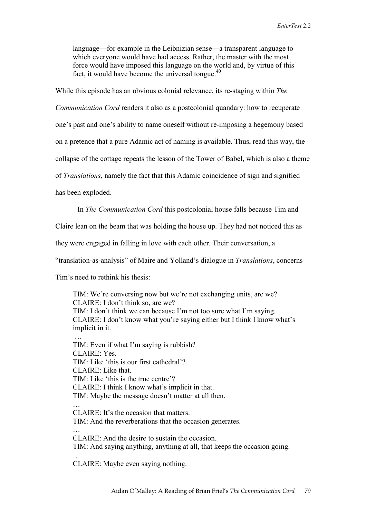language—for example in the Leibnizian sense—a transparent language to which everyone would have had access. Rather, the master with the most force would have imposed this language on the world and, by virtue of this fact, it would have become the universal tongue. $40$ 

While this episode has an obvious colonial relevance, its re-staging within *The* 

*Communication Cord* renders it also as a postcolonial quandary: how to recuperate

one's past and one's ability to name oneself without re-imposing a hegemony based

on a pretence that a pure Adamic act of naming is available. Thus, read this way, the

collapse of the cottage repeats the lesson of the Tower of Babel, which is also a theme

of *Translations*, namely the fact that this Adamic coincidence of sign and signified

has been exploded.

In *The Communication Cord* this postcolonial house falls because Tim and

Claire lean on the beam that was holding the house up. They had not noticed this as

they were engaged in falling in love with each other. Their conversation, a

"translation-as-analysis" of Maire and Yolland's dialogue in *Translations*, concerns

Tim's need to rethink his thesis:

TIM: We're conversing now but we're not exchanging units, are we? CLAIRE: I don't think so, are we? TIM: I don't think we can because I'm not too sure what I'm saying. CLAIRE: I don't know what you're saying either but I think I know what's implicit in it. …

TIM: Even if what I'm saying is rubbish? CLAIRE: Yes. TIM: Like 'this is our first cathedral'? CLAIRE: Like that. TIM: Like 'this is the true centre'? CLAIRE: I think I know what's implicit in that. TIM: Maybe the message doesn't matter at all then. … CLAIRE: It's the occasion that matters. TIM: And the reverberations that the occasion generates. … CLAIRE: And the desire to sustain the occasion. TIM: And saying anything, anything at all, that keeps the occasion going.

CLAIRE: Maybe even saying nothing.

…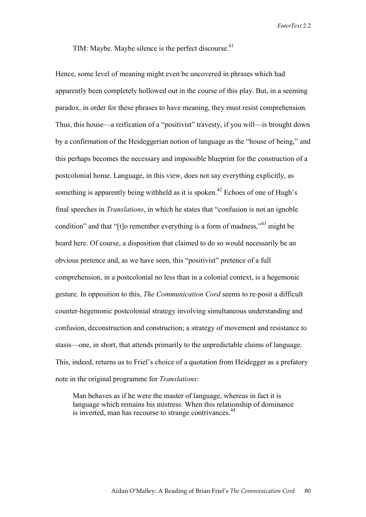## TIM: Maybe. Maybe silence is the perfect discourse. $41$

Hence, some level of meaning might even be uncovered in phrases which had apparently been completely hollowed out in the course of this play. But, in a seeming paradox, in order for these phrases to have meaning, they must resist comprehension. Thus, this house—a reification of a "positivist" travesty, if you will—is brought down by a confirmation of the Heideggerian notion of language as the "house of being," and this perhaps becomes the necessary and impossible blueprint for the construction of a postcolonial home. Language, in this view, does not say everything explicitly, as something is apparently being withheld as it is spoken.<sup>42</sup> Echoes of one of Hugh's final speeches in *Translations*, in which he states that "confusion is not an ignoble condition" and that "[t]o remember everything is a form of madness,"<sup>43</sup> might be heard here. Of course, a disposition that claimed to do so would necessarily be an obvious pretence and, as we have seen, this "positivist" pretence of a full comprehension, in a postcolonial no less than in a colonial context, is a hegemonic gesture. In opposition to this, *The Communication Cord* seems to re-posit a difficult counter-hegemonic postcolonial strategy involving simultaneous understanding and confusion, deconstruction and construction; a strategy of movement and resistance to stasis—one, in short, that attends primarily to the unpredictable claims of language. This, indeed, returns us to Friel's choice of a quotation from Heidegger as a prefatory note in the original programme for *Translations*:

Man behaves as if he were the master of language, whereas in fact it is language which remains his mistress. When this relationship of dominance is inverted, man has recourse to strange contrivances.<sup>44</sup>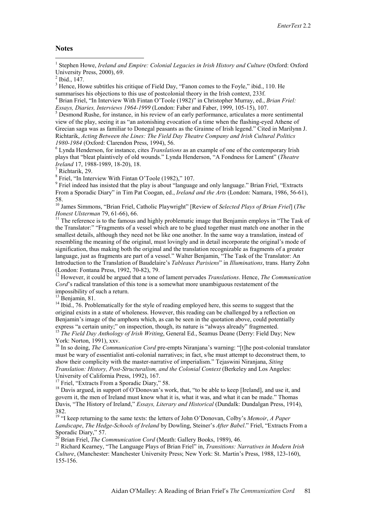## **Notes**

 $\overline{a}$ 

<sup>1</sup> Stephen Howe, *Ireland and Empire: Colonial Legacies in Irish History and Culture* (Oxford: Oxford University Press, 2000), 69.

 $3$  Hence, Howe subtitles his critique of Field Day, "Fanon comes to the Foyle," ibid., 110. He summarises his objections to this use of postcolonial theory in the Irish context, 233f.

4 Brian Friel, "In Interview With Fintan O'Toole (1982)" in Christopher Murray, ed., *Brian Friel: Essays, Diaries, Interviews 1964-1999* (London: Faber and Faber, 1999, 105-15), 107.

 $<sup>5</sup>$  Desmond Rushe, for instance, in his review of an early performance, articulates a more sentimental</sup> view of the play, seeing it as "an astonishing evocation of a time when the flashing-eyed Athene of Grecian saga was as familiar to Donegal peasants as the Grainne of Irish legend." Cited in Marilynn J. Richtarik, *Acting Between the Lines: The Field Day Theatre Company and Irish Cultural Politics 1980-1984* (Oxford: Clarendon Press, 1994), 56.

 Lynda Henderson, for instance, cites *Translations* as an example of one of the contemporary Irish plays that "bleat plaintively of old wounds." Lynda Henderson, "A Fondness for Lament" (*Theatre Ireland* 17, 1988-1989, 18-20), 18.

 $<sup>7</sup>$  Richtarik, 29.</sup>

<sup>8</sup> Friel, "In Interview With Fintan O'Toole (1982)," 107.

<sup>9</sup> Friel indeed has insisted that the play is about "language and only language." Brian Friel, "Extracts From a Sporadic Diary" in Tim Pat Coogan, ed., *Ireland and the Arts* (London: Namara, 1986, 56-61), 58.

10 James Simmons, "Brian Friel, Catholic Playwright" [Review of *Selected Plays of Brian Friel*] (*The Honest Ulsterman* 79, 61-66), 66.<br><sup>11</sup> The reference is to the famous and highly problematic image that Benjamin employs in "The Task of

the Translator:" "Fragments of a vessel which are to be glued together must match one another in the smallest details, although they need not be like one another. In the same way a translation, instead of resembling the meaning of the original, must lovingly and in detail incorporate the original's mode of signification, thus making both the original and the translation recognizable as fragments of a greater language, just as fragments are part of a vessel." Walter Benjamin, "The Task of the Translator: An Introduction to the Translation of Baudelaire's *Tableaux Parisiens*" in *Illuminations*, trans. Harry Zohn (London: Fontana Press, 1992, 70-82), 79.

12 However, it could be argued that a tone of lament pervades *Translations*. Hence, *The Communication Cord*'s radical translation of this tone is a somewhat more unambiguous restatement of the impossibility of such a return.

 $13$  Benjamin, 81.

<sup>14</sup> Ibid., 76. Problematically for the style of reading employed here, this seems to suggest that the original exists in a state of wholeness. However, this reading can be challenged by a reflection on Benjamin's image of the amphora which, as can be seen in the quotation above, could potentially express "a certain unity;" on inspection, though, its nature is "always already" fragmented.

<sup>15</sup> *The Field Day Anthology of Irish Writing*, General Ed., Seamus Deane (Derry: Field Day; New York: Norton. 1991). xxv.

<sup>16</sup> In so doing, *The Communication Cord* pre-empts Niranjana's warning: "[t]he post-colonial translator must be wary of essentialist anti-colonial narratives; in fact, s/he must attempt to deconstruct them, to show their complicity with the master-narrative of imperialism." Tejaswini Niranjana, *Siting Translation: History, Post-Structuralism, and the Colonial Context* (Berkeley and Los Angeles: University of California Press, 1992), 167.

 $17$  Friel, "Extracts From a Sporadic Diary," 58.

<sup>18</sup> Davis argued, in support of O'Donovan's work, that, "to be able to keep [Ireland], and use it, and govern it, the men of Ireland must know what it is, what it was, and what it can be made." Thomas Davis, "The History of Ireland," *Essays, Literary and Historical* (Dundalk: Dundalgan Press, 1914), 382.

19 "I keep returning to the same texts: the letters of John O'Donovan, Colby's *Memoir*, *A Paper Landscape*, *The Hedge-Schools of Ireland* by Dowling, Steiner's *After Babel*." Friel, "Extracts From a Sporadic Diary," 57.<br><sup>20</sup> Brian Friel, *The Communication Cord* (Meath: Gallery Books, 1989), 46.

<sup>21</sup> Richard Kearney, "The Language Plays of Brian Friel" in, *Transitions: Narratives in Modern Irish Culture*, (Manchester: Manchester University Press; New York: St. Martin's Press, 1988, 123-160), 155-156.

 $^{2}$  Ibid., 147.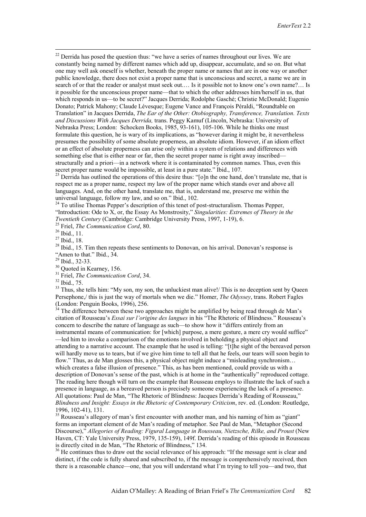$22$  Derrida has posed the question thus: "we have a series of names throughout our lives. We are constantly being named by different names which add up, disappear, accumulate, and so on. But what one may well ask oneself is whether, beneath the proper name or names that are in one way or another public knowledge, there does not exist a proper name that is unconscious and secret, a name we are in search of or that the reader or analyst must seek out.… Is it possible not to know one's own name?… Is it possible for the unconscious proper name—that to which the other addresses him/herself in us, that which responds in us—to be secret?" Jacques Derrida; Rodolphe Gasché; Christie McDonald; Eugenio Donato; Patrick Mahony; Claude Lévesque; Eugene Vance and François Péraldi, "Roundtable on Translation" in Jacques Derrida, *The Ear of the Other: Otobiography, Transference, Translation. Texts and Discussions With Jacques Derrida,* trans. Peggy Kamuf (Lincoln, Nebraska: University of Nebraska Press; London: Schocken Books, 1985, 93-161), 105-106. While he thinks one must formulate this question, he is wary of its implications, as "however daring it might be, it nevertheless presumes the possibility of some absolute properness, an absolute idiom. However, if an idiom effect or an effect of absolute properness can arise only within a system of relations and differences with something else that is either near or far, then the secret proper name is right away inscribed structurally and a priori—in a network where it is contaminated by common names. Thus, even this secret proper name would be impossible, at least in a pure state." Ibid., 107.<br><sup>23</sup> Derrida has outlined the operations of this desire thus: "[o]n the one hand, don't translate me, that is

respect me as a proper name, respect my law of the proper name which stands over and above all languages. And, on the other hand, translate me, that is, understand me, preserve me within the universal language, follow my law, and so on." Ibid., 102.

<sup>24</sup> To utilise Thomas Pepper's description of this tenet of post-structuralism. Thomas Pepper, "Introduction: Ode to X, or, the Essay As Monstrosity," *Singularities: Extremes of Theory in the Twentieth Century* (Cambridge: Cambridge University Press, 1997, 1-19), 6.<br><sup>25</sup> Friel, *The Communication Cord*, 80.<br><sup>26</sup> Ibid., 11.

27 Ibid., 18.

<sup>28</sup> Ibid., 15. Tim then repeats these sentiments to Donovan, on his arrival. Donovan's response is "Amen to that." Ibid., 34.

29 Ibid., 32-33.

<sup>30</sup> Ouoted in Kearney, 156.

<sup>31</sup> Friel, *The Communication Cord*, 34.<br><sup>32</sup> Ibid., 75.

<sup>33</sup> Thus, she tells him: "My son, my son, the unluckiest man alive!/ This is no deception sent by Queen Persephone,/ this is just the way of mortals when we die." Homer, *The Odyssey*, trans. Robert Fagles (London: Penguin Books, 1996), 256.

The difference between these two approaches might be amplified by being read through de Man's citation of Rousseau's *Essai sur l'origine des langues* in his "The Rhetoric of Blindness." Rousseau's concern to describe the nature of language as such—to show how it "differs entirely from an instrumental means of communication: for [which] purpose, a mere gesture, a mere cry would suffice" —led him to invoke a comparison of the emotions involved in beholding a physical object and attending to a narrative account. The example that he used is telling: "[t]he sight of the bereaved person will hardly move us to tears, but if we give him time to tell all that he feels, our tears will soon begin to flow." Thus, as de Man glosses this, a physical object might induce a "misleading synchronism... which creates a false illusion of presence." This, as has been mentioned, could provide us with a description of Donovan's sense of the past, which is at home in the "authentically" reproduced cottage. The reading here though will turn on the example that Rousseau employs to illustrate the lack of such a presence in language, as a bereaved person is precisely someone experiencing the lack of a presence. All quotations: Paul de Man, "The Rhetoric of Blindness: Jacques Derrida's Reading of Rousseau," *Blindness and Insight: Essays in the Rhetoric of Contemporary Criticism*, rev. ed. (London: Routledge, 1996, 102-41), 131.

<sup>35</sup> Rousseau's allegory of man's first encounter with another man, and his naming of him as "giant" forms an important element of de Man's reading of metaphor. See Paul de Man, "Metaphor (Second Discourse)," *Allegories of Reading: Figural Language in Rousseau, Nietzsche, Rilke, and Proust* (New Haven, CT: Yale University Press, 1979, 135-159), 149f. Derrida's reading of this episode in Rousseau is directly cited in de Man, "The Rhetoric of Blindness," 134.

<sup>36</sup> He continues thus to draw out the social relevance of his approach: "If the message sent is clear and distinct, if the code is fully shared and subscribed to, if the message is comprehensively received, then there is a reasonable chance—one, that you will understand what I'm trying to tell you—and two, that